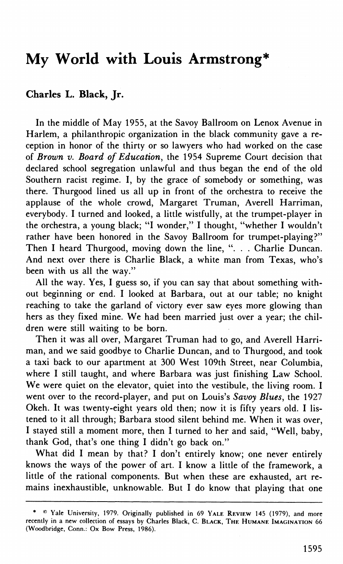## My World with Louis Armstrong\*

## Charles L. Black, Jr.

 In the middle of May 1955, at the Savoy Ballroom on Lenox Avenue in Harlem, a philanthropic organization in the black community gave a re ception in honor of the thirty or so lawyers who had worked on the case of Brown v. Board of Education, the 1954 Supreme Court decision that declared school segregation unlawful and thus began the end of the old Southern racist regime. I, by the grace of somebody or something, was there. Thurgood lined us all up in front of the orchestra to receive the applause of the whole crowd, Margaret Truman, Averell Harriman, everybody. I turned and looked, a little wistfully, at the trumpet-player in the orchestra, a young black; "I wonder," I thought, "whether I wouldn't rather have been honored in the Savoy Ballroom for trumpet-playing?" Then I heard Thurgood, moving down the line, ". . . Charlie Duncan. And next over there is Charlie Black, a white man from Texas, who's been with us all the way."

All the way. Yes, I guess so, if you can say that about something with out beginning or end. I looked at Barbara, out at our table; no knight reaching to take the garland of victory ever saw eyes more glowing than hers as they fixed mine. We had been married just over a year; the children were still waiting to be born.

Then it was all over, Margaret Truman had to go, and Averell Harri man, and we said goodbye to Charlie Duncan, and to Thurgood, and took a taxi back to our apartment at 300 West 109th Street, near Columbia, where I still taught, and where Barbara was just finishing Law School. We were quiet on the elevator, quiet into the vestibule, the living room. I went over to the record-player, and put on Louis's Savoy Blues, the 1927 Okeh. It was twenty-eight years old then; now it is fifty years old. I lis tened to it all through; Barbara stood silent behind me. When it was over, I stayed still a moment more, then I turned to her and said, "Well, baby, thank God, that's one thing I didn't go back on."

 What did I mean by that? I don't entirely know; one never entirely knows the ways of the power of art. I know a little of the framework, a little of the rational components. But when these are exhausted, art remains inexhaustible, unknowable. But I do know that playing that one

 <sup>\* ?</sup> Yale University, 1979. Originally published in 69 Yale Review 145 (1979), and more recently in a new collection of essays by Charles Black, C. Black, The Humane Imagination 66 (Woodbridge, Conn.: Ox Bow Press, 1986).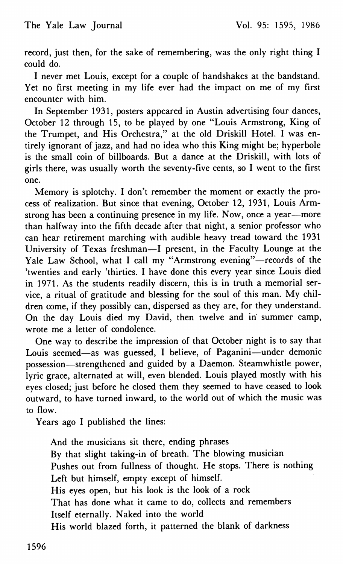record, just then, for the sake of remembering, was the only right thing I could do.

 I never met Louis, except for a couple of handshakes at the bandstand. Yet no first meeting in my life ever had the impact on me of my first encounter with him.

 In September 1931, posters appeared in Austin advertising four dances, October 12 through 15, to be played by one "Louis Armstrong, King of the Trumpet, and His Orchestra," at the old Driskill Hotel. I was en tirely ignorant of jazz, and had no idea who this King might be; hyperbole is the small coin of billboards. But a dance at the Driskill, with lots of girls there, was usually worth the seventy-five cents, so I went to the first one.

Memory is splotchy. I don't remember the moment or exactly the process of realization. But since that evening, October 12, 1931, Louis Armstrong has been a continuing presence in my life. Now, once a year-more than halfway into the fifth decade after that night, a senior professor who can hear retirement marching with audible heavy tread toward the 1931 University of Texas freshman—I present, in the Faculty Lounge at the Yale Law School, what I call my "Armstrong evening"-records of the 'twenties and early 'thirties. I have done this every year since Louis died in 1971. As the students readily discern, this is in truth a memorial service, a ritual of gratitude and blessing for the soul of this man. My chil dren come, if they possibly can, dispersed as they are, for they understand. On the day Louis died my David, then twelve and in summer camp, wrote me a letter of condolence.

 One way to describe the impression of that October night is to say that Louis seemed—as was guessed, I believe, of Paganini—under demonic possession-strengthened and guided by a Daemon. Steamwhistle power, lyric grace, alternated at will, even blended. Louis played mostly with his eyes closed; just before he closed them they seemed to have ceased to look outward, to have turned inward, to the world out of which the music was to flow.

Years ago I published the lines:

 And the musicians sit there, ending phrases By that slight taking-in of breath. The blowing musician Pushes out from fullness of thought. He stops. There is nothing Left but himself, empty except of himself. His eyes open, but his look is the look of a rock That has done what it came to do, collects and remembers Itself eternally. Naked into the world His world blazed forth, it patterned the blank of darkness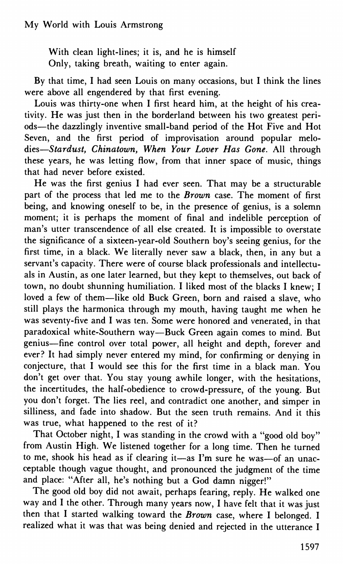With clean light-lines; it is, and he is himself Only, taking breath, waiting to enter again.

 By that time, I had seen Louis on many occasions, but I think the lines were above all engendered by that first evening.<br>Louis was thirty-one when I first heard him, at the height of his crea-

tivity. He was just then in the borderland between his two greatest periods—the dazzlingly inventive small-band period of the Hot Five and Hot Seven, and the first period of improvisation around popular melo-Seven, and the first period of improvisation around popular mere<br>dies—Stardust, Chinatown, When Your Lover Has Gone. All through dies—Stardust, Chinatown, When Your Lover Has Gone. All through these years, he was letting flow, from that inner space of music, things that had never before existed.<br>He was the first genius I had ever seen. That may be a structurable

 He was the first genius I had ever seen. That may be a structurable part of the process that led me to the *Brown* case. The moment of first being, and knowing oneself to be, in the presence of genius, is a solemn moment; it is perhaps the moment of final and indelible perception of man's utter transcendence of all else created. It is impossible to overstate the significance of a sixteen-year-old Southern boy's seeing genius, for the first time, in a black. We literally never saw a black, then, in any but a first time, in a black. We literally never saw a black, then, in any but a servant's capacity. There were of course black professionals and intellectu als in Austin, as one later learned, but they kept to themselves, out back of town, no doubt shunning humiliation. I liked most of the blacks I knew; I loved a few of them-like old Buck Green, born and raised a slave, who still plays the harmonica through my mouth, having taught me when he was seventy-five and I was ten. Some were honored and venerated, in that paradoxical white-Southern way—Buck Green again comes to mind. But genius—fine control over total power, all height and depth, forever and<br>ever? It had simply never entered my mind, for confirming or denving in ever? It had simply never entered my mind, for confirming or denying in conjecture, that I would see this for the first time in a black man. You don't get over that. You stay young awhile longer, with the hesitations, the incertitudes, the half-obedience to crowd-pressure, of the young. But you don't forget. The lies reel, and contradict one another, and simper in silliness, and fade into shadow. But the seen truth remains. And it this was true, what happened to the rest of it?

 That October night, I was standing in the crowd with a "good old boy" from Austin High. We listened together for a long time. Then he turned to me, shook his head as if clearing it-as I'm sure he was-of an unacceptable though vague thought, and pronounced the judgment of the time<br>and place: "After all, he's nothing but a God damn nigger!" and place: "After all, he's nothing but a God damn nigger!"

 The good old boy did not await, perhaps fearing, reply. He walked one way and I the other. Through many years now, I have felt that it was just then that I started walking toward the Brown case, where I belonged. I realized what it was that was being denied and rejected in the utterance I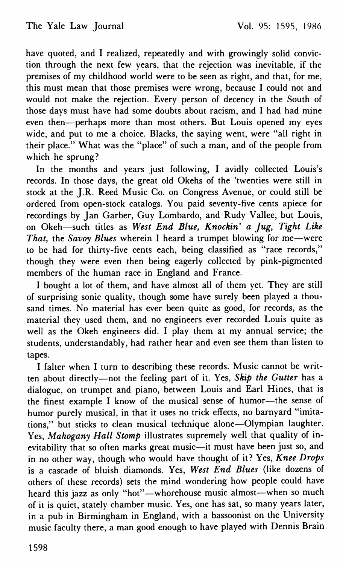have quoted, and I realized, repeatedly and with growingly solid convic tion through the next few years, that the rejection was inevitable, if the premises of my childhood world were to be seen as right, and that, for me, this must mean that those premises were wrong, because I could not and would not make the rejection. Every person of decency in the South of those days must have had some doubts about racism, and I had had mine even then—perhaps more than most others. But Louis opened my eyes wide, and put to me a choice. Blacks, the saying went, were "all right in their place." What was the "place" of such a man, and of the people from which he sprung?

 In the months and years just following, I avidly collected Louis's records. In those days, the great old Okehs of the 'twenties were still in stock at the J.R. Reed Music Co. on Congress Avenue, or could still be ordered from open-stock catalogs. You paid seventy-five cents apiece for recordings by Jan Garber, Guy Lombardo, and Rudy Vallee, but Louis, on Okeh-such titles as West End Blue, Knockin' a Jug, Tight Like That, the Savoy Blues wherein I heard a trumpet blowing for me-were to be had for thirty-five cents each, being classified as "race records," though they were even then being eagerly collected by pink-pigmented members of the human race in England and France.

 I bought a lot of them, and have almost all of them yet. They are still of surprising sonic quality, though some have surely been played a thousand times. No material has ever been quite as good, for records, as the material they used them, and no engineers ever recorded Louis quite as well as the Okeh engineers did. I play them at my annual service; the students, understandably, had rather hear and even see them than listen to tapes.

I falter when I turn to describing these records. Music cannot be written about directly-not the feeling part of it. Yes, Skip the Gutter has a dialogue, on trumpet and piano, between Louis and Earl Hines, that is the finest example I know of the musical sense of humor—the sense of<br>humor purely musical, in that it uses no trick effects, no barnyard "imitahumor purely musical, in that it uses no trick effects, no barnyard  $\ldots$ tions," but sticks to clean musical technique alone—Olympian laugh Yes, Mahogany Hall Stomp illustrates supremely well that quality of inevitability that so often marks great music-it must have been just so, and in no other way, though who would have thought of it? Yes, Knee Drops is a cascade of bluish diamonds. Yes, West End Blues (like dozens of others of these records) sets the mind wondering how people could have heard this jazz as only "hot"-whorehouse music almost-when so much of it is quiet, stately chamber music. Yes, one has sat, so many years later, in a pub in Birmingham in England, with a bassoonist on the University music faculty there, a man good enough to have played with Dennis Brain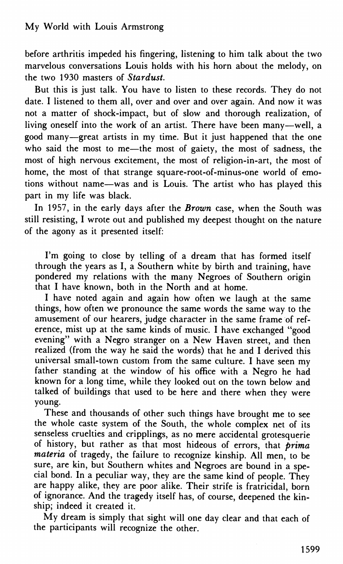before arthritis impeded his fingering, listening to him talk about the two marvelous conversations Louis holds with his horn about the melody, on the two 1930 masters of Stardust.

 But this is just talk. You have to listen to these records. They do not date. I listened to them all, over and over and over again. And now it was not a matter of shock-impact, but of slow and thorough realization, of living oneself into the work of an artist. There have been many—well, a good many—great artists in my time. But it just happened that the one who said the most to me—the most of gaiety, the most of sadness, the most of high nervous excitement, the most of religion-in-art, the most of home, the most of that strange square-root-of-minus-one world of emotions without name—was and is Louis. The artist who has played this part in my life was black.

In 1957, in the early days after the **Brown** case, when the South was still resisting, I wrote out and published my deepest thought on the nature of the agony as it presented itself:

I'm going to close by telling of a dream that has formed itself through the years as I, a Southern white by birth and training, have pondered my relations with the many Negroes of Southern origin that I have known, both in the North and at home.

 I have noted again and again how often we laugh at the same things, how often we pronounce the same words the same way to the amusement of our hearers, judge character in the same frame of ref erence, mist up at the same kinds of music. I have exchanged "good evening" with a Negro stranger on a New Haven street, and then realized (from the way he said the words) that he and I derived this universal small-town custom from the same culture. I have seen my universal small-town custom from the same culture. I have seen my father standing at the window of his office with a Negro he had known for a long time, while they looked out on the town below and talked of buildings that used to be here and there when they were young.

 These and thousands of other such things have brought me to see the whole caste system of the South, the whole complex net of its senseless cruelties and cripplings, as no mere accidental grotesquerie<br>of history, but rather as that most hideous of errors, that *prima* of history, but rather as that most hideous of errors, that  $p\textit{rima}$ materia of tragedy, the failure to recognize kinship. All men, to be sure, are kin, but Southern whites and Negroes are bound in a special bond. In a peculiar way, they are the same kind of people. They cial bond. In a peculiar way, they are the same kind of people. They are happy alike, they are poor alike. Their strife is fratricidal, born of ignorance. And the tragedy itself has, of course, deepened the kinship; indeed it created it.

 My dream is simply that sight will one day clear and that each of the participants will recognize the other.